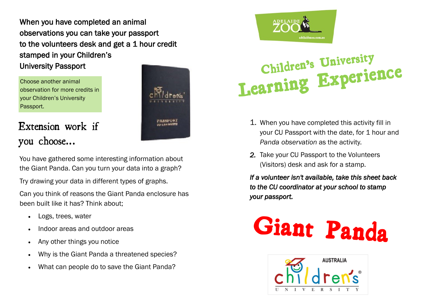When you have completed an animal observations you can take your passport to the volunteers desk and get a 1 hour credit stamped in your Children's University Passport

Choose another animal observation for more credits in your Children's University Passport.



## Extension work if you choose...

You have gathered some interesting information about the Giant Panda. Can you turn your data into a graph?

Try drawing your data in different types of graphs.

Can you think of reasons the Giant Panda enclosure has been built like it has? Think about;

- Logs, trees, water
- Indoor areas and outdoor areas
- Any other things you notice
- Why is the Giant Panda a threatened species?
- What can people do to save the Giant Panda?



# **Children's University Learning Experience**

- 1. When you have completed this activity fill in your CU Passport with the date, for 1 hour and *Panda observation* as the activity.
- *2.* Take your CU Passport to the Volunteers (Visitors) desk and ask for a stamp.

*If a volunteer isn't available, take this sheet back to the CU coordinator at your school to stamp your passport.*